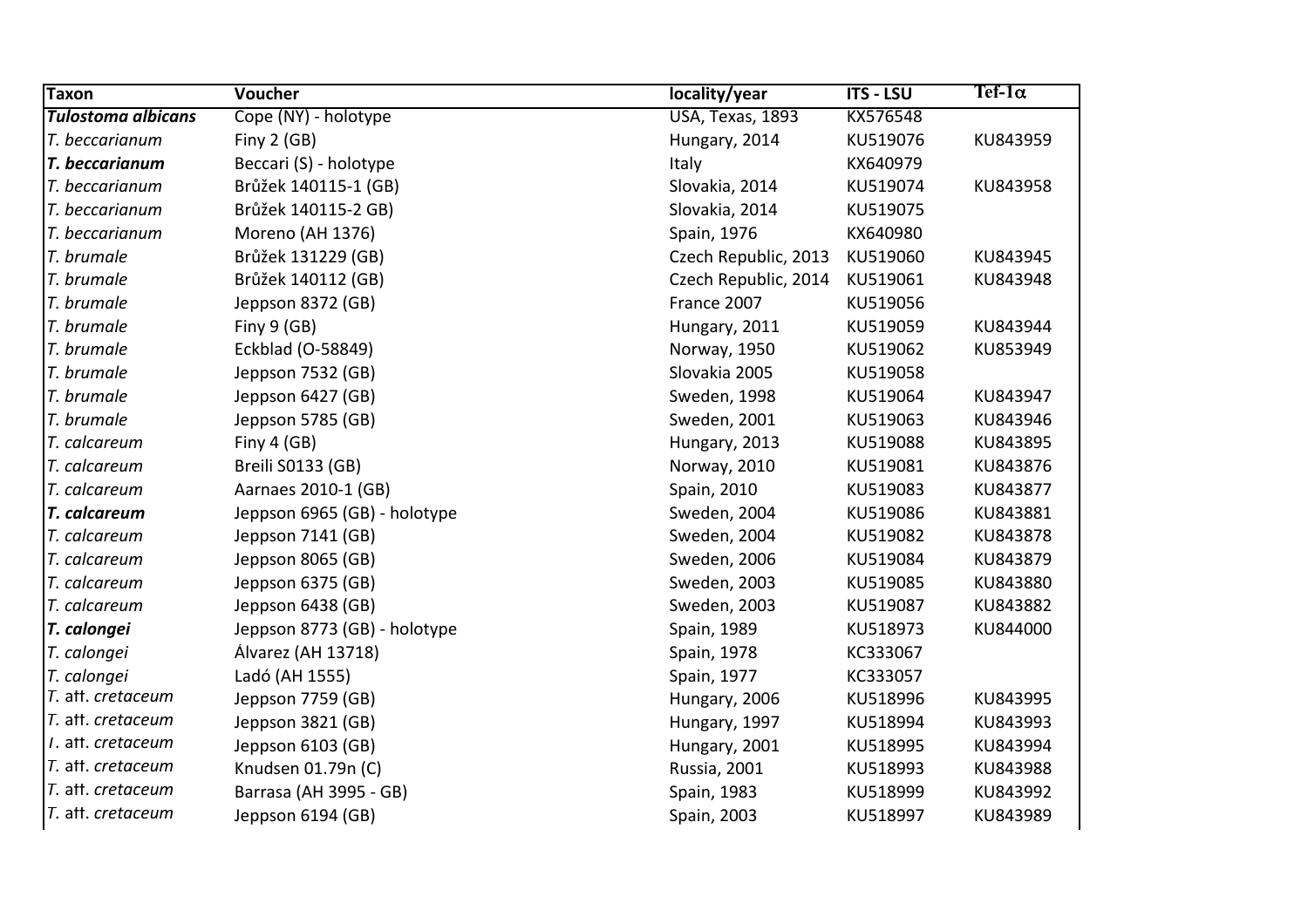| <b>Taxon</b>              | <b>Voucher</b>               | locality/year        | <b>ITS - LSU</b> | Tef-1 $\alpha$ |
|---------------------------|------------------------------|----------------------|------------------|----------------|
| <b>Tulostoma albicans</b> | Cope (NY) - holotype         | USA, Texas, 1893     | KX576548         |                |
| T. beccarianum            | Finy $2$ (GB)                | Hungary, 2014        | KU519076         | KU843959       |
| T. beccarianum            | Beccari (S) - holotype       | Italy                | KX640979         |                |
| T. beccarianum            | Brůžek 140115-1 (GB)         | Slovakia, 2014       | KU519074         | KU843958       |
| T. beccarianum            | Brůžek 140115-2 GB)          | Slovakia, 2014       | KU519075         |                |
| T. beccarianum            | Moreno (AH 1376)             | Spain, 1976          | KX640980         |                |
| T. brumale                | Brůžek 131229 (GB)           | Czech Republic, 2013 | KU519060         | KU843945       |
| T. brumale                | Brůžek 140112 (GB)           | Czech Republic, 2014 | KU519061         | KU843948       |
| T. brumale                | Jeppson 8372 (GB)            | France 2007          | KU519056         |                |
| T. brumale                | Finy $9$ (GB)                | Hungary, 2011        | KU519059         | KU843944       |
| T. brumale                | Eckblad (O-58849)            | Norway, 1950         | KU519062         | KU853949       |
| T. brumale                | Jeppson 7532 (GB)            | Slovakia 2005        | KU519058         |                |
| T. brumale                | Jeppson 6427 (GB)            | Sweden, 1998         | KU519064         | KU843947       |
| T. brumale                | Jeppson 5785 (GB)            | Sweden, 2001         | KU519063         | KU843946       |
| T. calcareum              | Finy $4$ (GB)                | Hungary, 2013        | KU519088         | KU843895       |
| T. calcareum              | Breili S0133 (GB)            | Norway, 2010         | KU519081         | KU843876       |
| T. calcareum              | Aarnaes 2010-1 (GB)          | Spain, 2010          | KU519083         | KU843877       |
| T. calcareum              | Jeppson 6965 (GB) - holotype | Sweden, 2004         | KU519086         | KU843881       |
| T. calcareum              | Jeppson 7141 (GB)            | Sweden, 2004         | KU519082         | KU843878       |
| T. calcareum              | Jeppson 8065 (GB)            | Sweden, 2006         | KU519084         | KU843879       |
| T. calcareum              | Jeppson 6375 (GB)            | Sweden, 2003         | KU519085         | KU843880       |
| T. calcareum              | Jeppson 6438 (GB)            | Sweden, 2003         | KU519087         | KU843882       |
| T. calongei               | Jeppson 8773 (GB) - holotype | Spain, 1989          | KU518973         | KU844000       |
| T. calongei               | Álvarez (AH 13718)           | Spain, 1978          | KC333067         |                |
| T. calongei               | Ladó (AH 1555)               | Spain, 1977          | KC333057         |                |
| T. aff. cretaceum         | Jeppson 7759 (GB)            | Hungary, 2006        | KU518996         | KU843995       |
| T. aff. cretaceum         | Jeppson 3821 (GB)            | Hungary, 1997        | KU518994         | KU843993       |
| T. aff. cretaceum         | Jeppson 6103 (GB)            | Hungary, 2001        | KU518995         | KU843994       |
| T. aff. cretaceum         | Knudsen 01.79n (C)           | Russia, 2001         | KU518993         | KU843988       |
| T. aff. cretaceum         | Barrasa (AH 3995 - GB)       | Spain, 1983          | KU518999         | KU843992       |
| T. aff. cretaceum         | Jeppson 6194 (GB)            | Spain, 2003          | KU518997         | KU843989       |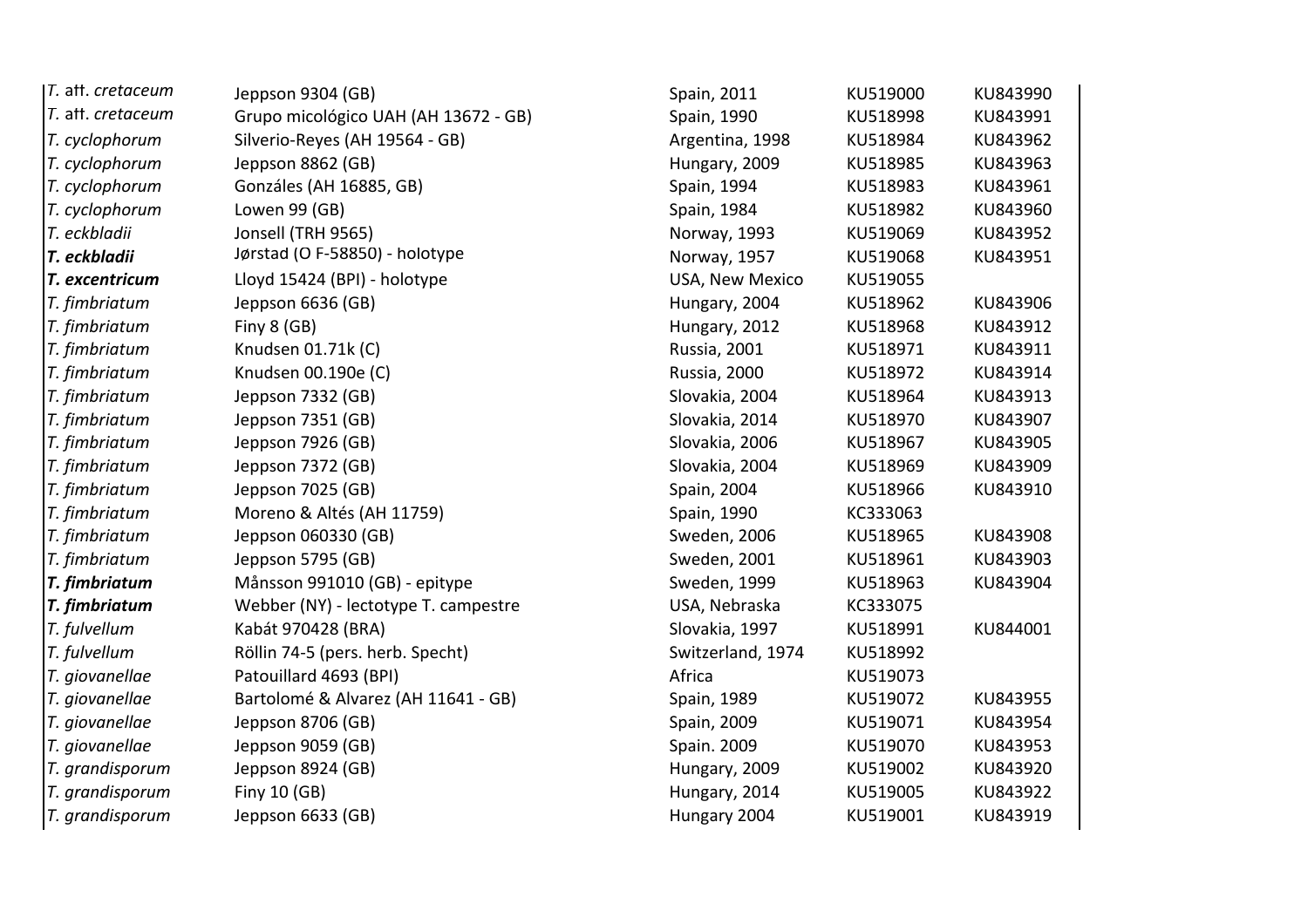| T. aff. cretaceum | Jeppson 9304 (GB)                    | Spain, 2011       | KU519000 | KU843990 |
|-------------------|--------------------------------------|-------------------|----------|----------|
| T. aff. cretaceum | Grupo micológico UAH (AH 13672 - GB) | Spain, 1990       | KU518998 | KU843991 |
| T. cyclophorum    | Silverio-Reyes (AH 19564 - GB)       | Argentina, 1998   | KU518984 | KU843962 |
| T. cyclophorum    | Jeppson 8862 (GB)                    | Hungary, 2009     | KU518985 | KU843963 |
| T. cyclophorum    | Gonzáles (AH 16885, GB)              | Spain, 1994       | KU518983 | KU843961 |
| T. cyclophorum    | Lowen 99 (GB)                        | Spain, 1984       | KU518982 | KU843960 |
| T. eckbladii      | Jonsell (TRH 9565)                   | Norway, 1993      | KU519069 | KU843952 |
| T. eckbladii      | Jørstad (O F-58850) - holotype       | Norway, 1957      | KU519068 | KU843951 |
| T. excentricum    | Lloyd 15424 (BPI) - holotype         | USA, New Mexico   | KU519055 |          |
| T. fimbriatum     | Jeppson 6636 (GB)                    | Hungary, 2004     | KU518962 | KU843906 |
| T. fimbriatum     | Finy 8 (GB)                          | Hungary, 2012     | KU518968 | KU843912 |
| T. fimbriatum     | Knudsen 01.71k (C)                   | Russia, 2001      | KU518971 | KU843911 |
| T. fimbriatum     | Knudsen 00.190e (C)                  | Russia, 2000      | KU518972 | KU843914 |
| T. fimbriatum     | Jeppson 7332 (GB)                    | Slovakia, 2004    | KU518964 | KU843913 |
| T. fimbriatum     | Jeppson 7351 (GB)                    | Slovakia, 2014    | KU518970 | KU843907 |
| T. fimbriatum     | Jeppson 7926 (GB)                    | Slovakia, 2006    | KU518967 | KU843905 |
| T. fimbriatum     | Jeppson 7372 (GB)                    | Slovakia, 2004    | KU518969 | KU843909 |
| T. fimbriatum     | Jeppson 7025 (GB)                    | Spain, 2004       | KU518966 | KU843910 |
| T. fimbriatum     | Moreno & Altés (AH 11759)            | Spain, 1990       | KC333063 |          |
| T. fimbriatum     | Jeppson 060330 (GB)                  | Sweden, 2006      | KU518965 | KU843908 |
| T. fimbriatum     | Jeppson 5795 (GB)                    | Sweden, 2001      | KU518961 | KU843903 |
| T. fimbriatum     | Månsson 991010 (GB) - epitype        | Sweden, 1999      | KU518963 | KU843904 |
| T. fimbriatum     | Webber (NY) - lectotype T. campestre | USA, Nebraska     | KC333075 |          |
| T. fulvellum      | Kabát 970428 (BRA)                   | Slovakia, 1997    | KU518991 | KU844001 |
| T. fulvellum      | Röllin 74-5 (pers. herb. Specht)     | Switzerland, 1974 | KU518992 |          |
| T. giovanellae    | Patouillard 4693 (BPI)               | Africa            | KU519073 |          |
| T. giovanellae    | Bartolomé & Alvarez (AH 11641 - GB)  | Spain, 1989       | KU519072 | KU843955 |
| T. giovanellae    | Jeppson 8706 (GB)                    | Spain, 2009       | KU519071 | KU843954 |
| T. giovanellae    | Jeppson 9059 (GB)                    | Spain. 2009       | KU519070 | KU843953 |
| T. grandisporum   | Jeppson 8924 (GB)                    | Hungary, 2009     | KU519002 | KU843920 |
| T. grandisporum   | Finy 10 (GB)                         | Hungary, 2014     | KU519005 | KU843922 |
| T. grandisporum   | Jeppson 6633 (GB)                    | Hungary 2004      | KU519001 | KU843919 |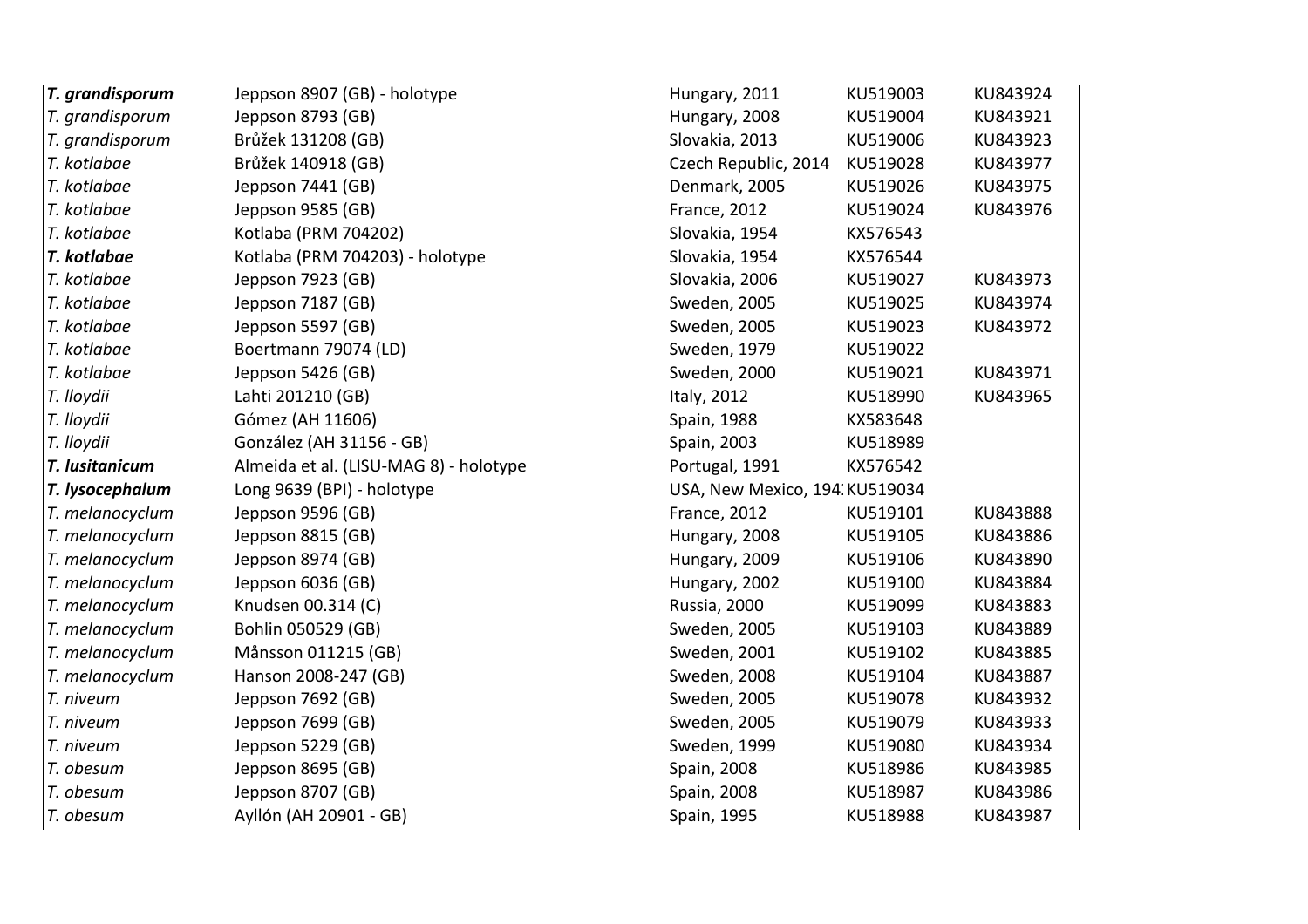| T. grandisporum | Jeppson 8907 (GB) - holotype           | Hungary, 2011                 | KU519003 | KU843924 |
|-----------------|----------------------------------------|-------------------------------|----------|----------|
| T. grandisporum | Jeppson 8793 (GB)                      | Hungary, 2008                 | KU519004 | KU843921 |
| T. grandisporum | Brůžek 131208 (GB)                     | Slovakia, 2013                | KU519006 | KU843923 |
| T. kotlabae     | Brůžek 140918 (GB)                     | Czech Republic, 2014          | KU519028 | KU843977 |
| T. kotlabae     | Jeppson 7441 (GB)                      | Denmark, 2005                 | KU519026 | KU843975 |
| T. kotlabae     | Jeppson 9585 (GB)                      | <b>France, 2012</b>           | KU519024 | KU843976 |
| T. kotlabae     | Kotlaba (PRM 704202)                   | Slovakia, 1954                | KX576543 |          |
| T. kotlabae     | Kotlaba (PRM 704203) - holotype        | Slovakia, 1954                | KX576544 |          |
| T. kotlabae     | Jeppson 7923 (GB)                      | Slovakia, 2006                | KU519027 | KU843973 |
| T. kotlabae     | Jeppson 7187 (GB)                      | Sweden, 2005                  | KU519025 | KU843974 |
| T. kotlabae     | Jeppson 5597 (GB)                      | Sweden, 2005                  | KU519023 | KU843972 |
| T. kotlabae     | Boertmann 79074 (LD)                   | Sweden, 1979                  | KU519022 |          |
| T. kotlabae     | Jeppson 5426 (GB)                      | Sweden, 2000                  | KU519021 | KU843971 |
| T. lloydii      | Lahti 201210 (GB)                      | Italy, 2012                   | KU518990 | KU843965 |
| T. Iloydii      | Gómez (AH 11606)                       | Spain, 1988                   | KX583648 |          |
| T. lloydii      | González (AH 31156 - GB)               | Spain, 2003                   | KU518989 |          |
| T. lusitanicum  | Almeida et al. (LISU-MAG 8) - holotype | Portugal, 1991                | KX576542 |          |
| T. lysocephalum | Long 9639 (BPI) - holotype             | USA, New Mexico, 194 KU519034 |          |          |
| T. melanocyclum | Jeppson 9596 (GB)                      | <b>France, 2012</b>           | KU519101 | KU843888 |
| T. melanocyclum | Jeppson 8815 (GB)                      | Hungary, 2008                 | KU519105 | KU843886 |
| T. melanocyclum | Jeppson 8974 (GB)                      | Hungary, 2009                 | KU519106 | KU843890 |
| T. melanocyclum | Jeppson 6036 (GB)                      | Hungary, 2002                 | KU519100 | KU843884 |
| T. melanocyclum | Knudsen 00.314 (C)                     | Russia, 2000                  | KU519099 | KU843883 |
| T. melanocyclum | Bohlin 050529 (GB)                     | Sweden, 2005                  | KU519103 | KU843889 |
| T. melanocyclum | Månsson 011215 (GB)                    | Sweden, 2001                  | KU519102 | KU843885 |
| T. melanocyclum | Hanson 2008-247 (GB)                   | Sweden, 2008                  | KU519104 | KU843887 |
| T. niveum       | Jeppson 7692 (GB)                      | Sweden, 2005                  | KU519078 | KU843932 |
| T. niveum       | Jeppson 7699 (GB)                      | Sweden, 2005                  | KU519079 | KU843933 |
| T. niveum       | Jeppson 5229 (GB)                      | Sweden, 1999                  | KU519080 | KU843934 |
| T. obesum       | Jeppson 8695 (GB)                      | Spain, 2008                   | KU518986 | KU843985 |
| T. obesum       | Jeppson 8707 (GB)                      | Spain, 2008                   | KU518987 | KU843986 |
| T. obesum       | Ayllón (AH 20901 - GB)                 | Spain, 1995                   | KU518988 | KU843987 |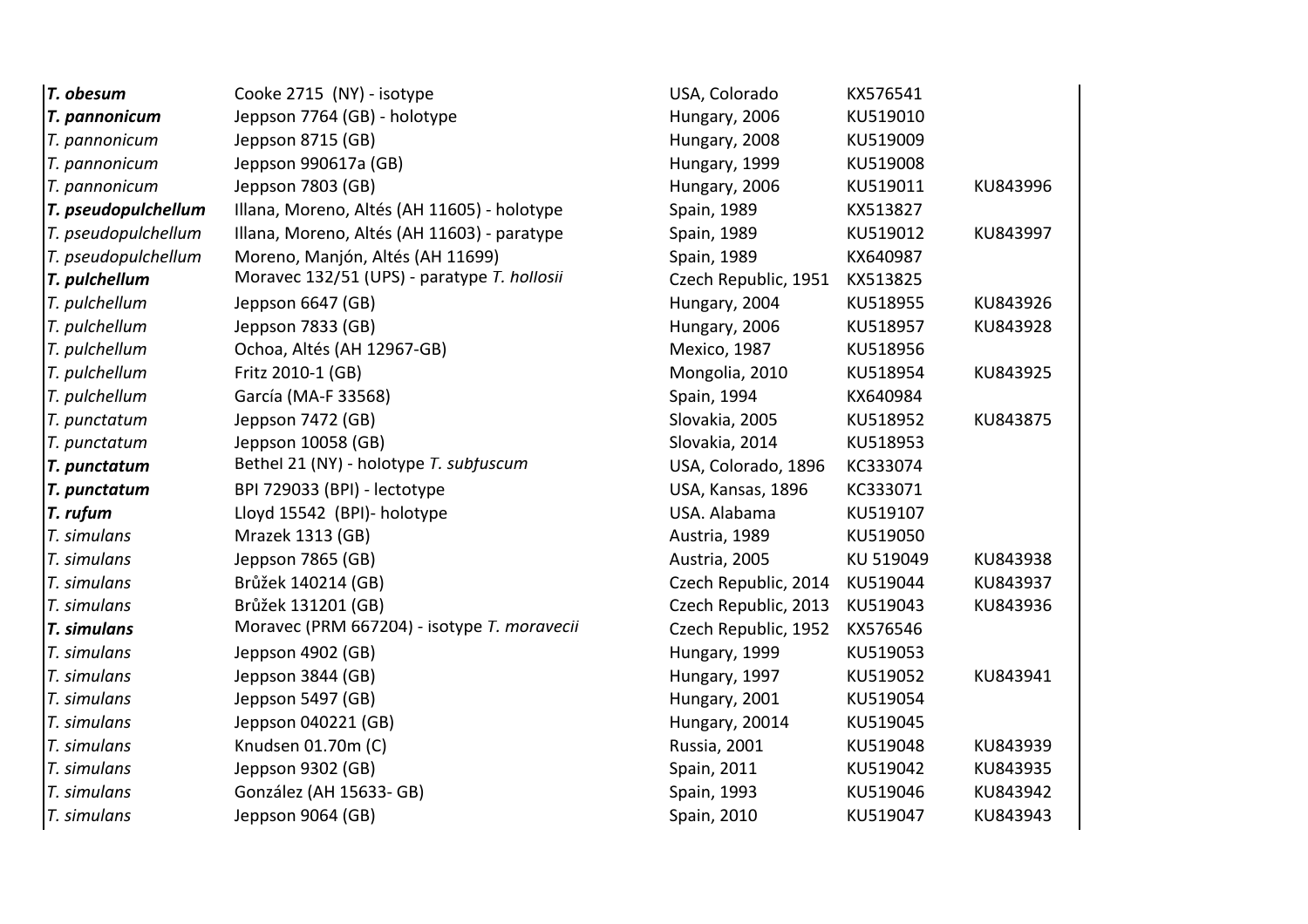| T. obesum           | Cooke 2715 (NY) - isotype                   | USA, Colorado        | KX576541  |          |
|---------------------|---------------------------------------------|----------------------|-----------|----------|
| T. pannonicum       | Jeppson 7764 (GB) - holotype                | Hungary, 2006        | KU519010  |          |
| T. pannonicum       | Jeppson 8715 (GB)                           | Hungary, 2008        | KU519009  |          |
| T. pannonicum       | Jeppson 990617a (GB)                        | Hungary, 1999        | KU519008  |          |
| T. pannonicum       | Jeppson 7803 (GB)                           | Hungary, 2006        | KU519011  | KU843996 |
| T. pseudopulchellum | Illana, Moreno, Altés (AH 11605) - holotype | Spain, 1989          | KX513827  |          |
| T. pseudopulchellum | Illana, Moreno, Altés (AH 11603) - paratype | Spain, 1989          | KU519012  | KU843997 |
| T. pseudopulchellum | Moreno, Manjón, Altés (AH 11699)            | Spain, 1989          | KX640987  |          |
| T. pulchellum       | Moravec 132/51 (UPS) - paratype T. hollosii | Czech Republic, 1951 | KX513825  |          |
| T. pulchellum       | Jeppson 6647 (GB)                           | Hungary, 2004        | KU518955  | KU843926 |
| T. pulchellum       | Jeppson 7833 (GB)                           | Hungary, 2006        | KU518957  | KU843928 |
| T. pulchellum       | Ochoa, Altés (AH 12967-GB)                  | Mexico, 1987         | KU518956  |          |
| T. pulchellum       | Fritz 2010-1 (GB)                           | Mongolia, 2010       | KU518954  | KU843925 |
| T. pulchellum       | García (MA-F 33568)                         | Spain, 1994          | KX640984  |          |
| T. punctatum        | Jeppson 7472 (GB)                           | Slovakia, 2005       | KU518952  | KU843875 |
| T. punctatum        | Jeppson 10058 (GB)                          | Slovakia, 2014       | KU518953  |          |
| T. punctatum        | Bethel 21 (NY) - holotype T. subfuscum      | USA, Colorado, 1896  | KC333074  |          |
| T. punctatum        | BPI 729033 (BPI) - lectotype                | USA, Kansas, 1896    | KC333071  |          |
| T. rufum            | Lloyd 15542 (BPI)- holotype                 | USA. Alabama         | KU519107  |          |
| T. simulans         | Mrazek 1313 (GB)                            | Austria, 1989        | KU519050  |          |
| T. simulans         | Jeppson 7865 (GB)                           | Austria, 2005        | KU 519049 | KU843938 |
| T. simulans         | Brůžek 140214 (GB)                          | Czech Republic, 2014 | KU519044  | KU843937 |
| T. simulans         |                                             |                      |           |          |
|                     | Brůžek 131201 (GB)                          | Czech Republic, 2013 | KU519043  | KU843936 |
| T. simulans         | Moravec (PRM 667204) - isotype T. moravecii | Czech Republic, 1952 | KX576546  |          |
| T. simulans         | Jeppson 4902 (GB)                           | Hungary, 1999        | KU519053  |          |
| T. simulans         | Jeppson 3844 (GB)                           | Hungary, 1997        | KU519052  | KU843941 |
| T. simulans         | Jeppson 5497 (GB)                           | Hungary, 2001        | KU519054  |          |
| T. simulans         | Jeppson 040221 (GB)                         | Hungary, 20014       | KU519045  |          |
| T. simulans         | Knudsen 01.70m (C)                          | <b>Russia, 2001</b>  | KU519048  | KU843939 |
| T. simulans         | Jeppson 9302 (GB)                           | Spain, 2011          | KU519042  | KU843935 |
| T. simulans         | González (AH 15633- GB)                     | Spain, 1993          | KU519046  | KU843942 |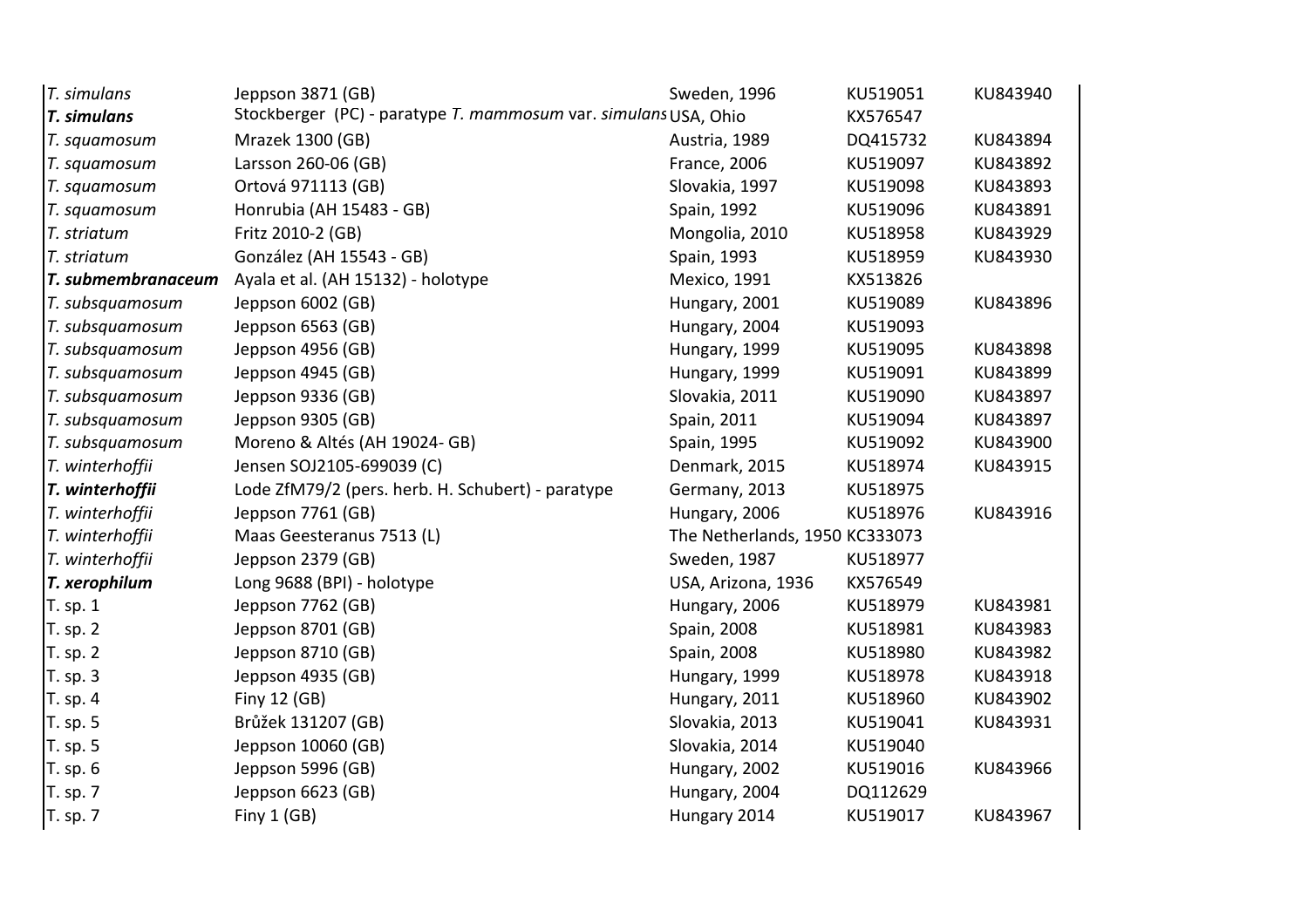| T. simulans        | Jeppson 3871 (GB)                                               | Sweden, 1996                   | KU519051 | KU843940 |
|--------------------|-----------------------------------------------------------------|--------------------------------|----------|----------|
| <b>T.</b> simulans | Stockberger (PC) - paratype T. mammosum var. simulans USA, Ohio |                                | KX576547 |          |
| T. squamosum       | Mrazek 1300 (GB)                                                | Austria, 1989                  | DQ415732 | KU843894 |
| T. squamosum       | Larsson 260-06 (GB)                                             | <b>France, 2006</b>            | KU519097 | KU843892 |
| T. squamosum       | Ortová 971113 (GB)                                              | Slovakia, 1997                 | KU519098 | KU843893 |
| T. squamosum       | Honrubia (AH 15483 - GB)                                        | Spain, 1992                    | KU519096 | KU843891 |
| T. striatum        | Fritz 2010-2 (GB)                                               | Mongolia, 2010                 | KU518958 | KU843929 |
| T. striatum        | González (AH 15543 - GB)                                        | Spain, 1993                    | KU518959 | KU843930 |
| T. submembranaceum | Ayala et al. (AH 15132) - holotype                              | Mexico, 1991                   | KX513826 |          |
| T. subsquamosum    | Jeppson 6002 (GB)                                               | Hungary, 2001                  | KU519089 | KU843896 |
| T. subsquamosum    | Jeppson 6563 (GB)                                               | Hungary, 2004                  | KU519093 |          |
| T. subsquamosum    | Jeppson 4956 (GB)                                               | Hungary, 1999                  | KU519095 | KU843898 |
| T. subsquamosum    | Jeppson 4945 (GB)                                               | Hungary, 1999                  | KU519091 | KU843899 |
| T. subsquamosum    | Jeppson 9336 (GB)                                               | Slovakia, 2011                 | KU519090 | KU843897 |
| T. subsquamosum    | Jeppson 9305 (GB)                                               | Spain, 2011                    | KU519094 | KU843897 |
| T. subsquamosum    | Moreno & Altés (AH 19024- GB)                                   | Spain, 1995                    | KU519092 | KU843900 |
| T. winterhoffii    | Jensen SOJ2105-699039 (C)                                       | Denmark, 2015                  | KU518974 | KU843915 |
| T. winterhoffii    | Lode ZfM79/2 (pers. herb. H. Schubert) - paratype               | Germany, 2013                  | KU518975 |          |
| T. winterhoffii    | Jeppson 7761 (GB)                                               | Hungary, 2006                  | KU518976 | KU843916 |
| T. winterhoffii    | Maas Geesteranus 7513 (L)                                       | The Netherlands, 1950 KC333073 |          |          |
| T. winterhoffii    | Jeppson 2379 (GB)                                               | Sweden, 1987                   | KU518977 |          |
| T. xerophilum      | Long 9688 (BPI) - holotype                                      | USA, Arizona, 1936             | KX576549 |          |
| T. sp. 1           | Jeppson 7762 (GB)                                               | Hungary, 2006                  | KU518979 | KU843981 |
| T. sp. 2           | Jeppson 8701 (GB)                                               | Spain, 2008                    | KU518981 | KU843983 |
| T. sp. 2           | Jeppson 8710 (GB)                                               | Spain, 2008                    | KU518980 | KU843982 |
| T. sp. 3           | Jeppson 4935 (GB)                                               | Hungary, 1999                  | KU518978 | KU843918 |
| T. sp. 4           | Finy 12 (GB)                                                    | Hungary, 2011                  | KU518960 | KU843902 |
| T. sp. 5           | Brůžek 131207 (GB)                                              | Slovakia, 2013                 | KU519041 | KU843931 |
| T. sp. 5           | Jeppson 10060 (GB)                                              | Slovakia, 2014                 | KU519040 |          |
| T. sp. 6           | Jeppson 5996 (GB)                                               | Hungary, 2002                  | KU519016 | KU843966 |
| T. sp. 7           | Jeppson 6623 (GB)                                               | Hungary, 2004                  | DQ112629 |          |
| T. sp. 7           | Finy 1 (GB)                                                     | Hungary 2014                   | KU519017 | KU843967 |